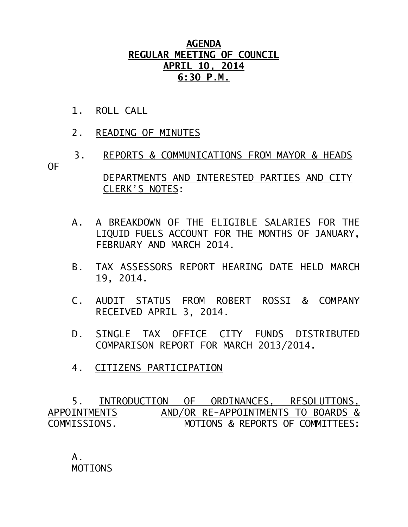## **AGENDA REGULAR MEETING OF COUNCIL APRIL 10, 2014 6:30 P.M.**

- 1. ROLL CALL
- 2. READING OF MINUTES
- 3. REPORTS & COMMUNICATIONS FROM MAYOR & HEADS OF

 DEPARTMENTS AND INTERESTED PARTIES AND CITY CLERK'S NOTES:

- A. A BREAKDOWN OF THE ELIGIBLE SALARIES FOR THE LIQUID FUELS ACCOUNT FOR THE MONTHS OF JANUARY, FEBRUARY AND MARCH 2014.
- B. TAX ASSESSORS REPORT HEARING DATE HELD MARCH 19, 2014.
- C. AUDIT STATUS FROM ROBERT ROSSI & COMPANY RECEIVED APRIL 3, 2014.
- D. SINGLE TAX OFFICE CITY FUNDS DISTRIBUTED COMPARISON REPORT FOR MARCH 2013/2014.
- 4. CITIZENS PARTICIPATION

 5. INTRODUCTION OF ORDINANCES, RESOLUTIONS, APPOINTMENTSAND/OR RE-APPOINTMENTS TO BOARDS & COMMISSIONS. MOTIONS & REPORTS OF COMMITTEES:

 A. MOTIONS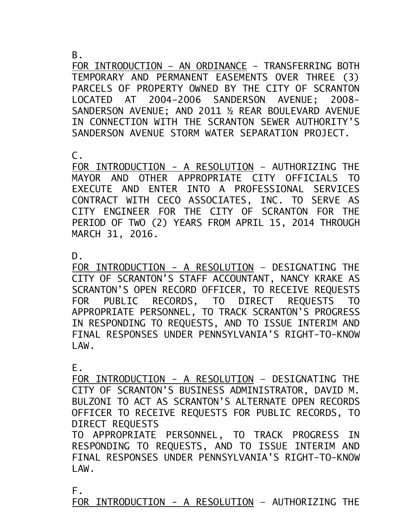B.

FOR INTRODUCTION - AN ORDINANCE - TRANSFERRING BOTH TEMPORARY AND PERMANENT EASEMENTS OVER THREE (3) PARCELS OF PROPERTY OWNED BY THE CITY OF SCRANTON LOCATED AT 2004-2006 SANDERSON AVENUE; 2008- SANDERSON AVENUE; AND 2011 ½ REAR BOULEVARD AVENUE IN CONNECTION WITH THE SCRANTON SEWER AUTHORITY'S SANDERSON AVENUE STORM WATER SEPARATION PROJECT.

 $\mathsf{C}$ .

FOR INTRODUCTION - A RESOLUTION – AUTHORIZING THE MAYOR AND OTHER APPROPRIATE CITY OFFICIALS TO EXECUTE AND ENTER INTO A PROFESSIONAL SERVICES CONTRACT WITH CECO ASSOCIATES, INC. TO SERVE AS CITY ENGINEER FOR THE CITY OF SCRANTON FOR THE PERIOD OF TWO (2) YEARS FROM APRIL 15, 2014 THROUGH MARCH 31, 2016.

D.

FOR INTRODUCTION - A RESOLUTION – DESIGNATING THE CITY OF SCRANTON'S STAFF ACCOUNTANT, NANCY KRAKE AS SCRANTON'S OPEN RECORD OFFICER, TO RECEIVE REQUESTS FOR PUBLIC RECORDS, TO DIRECT REQUESTS TO APPROPRIATE PERSONNEL, TO TRACK SCRANTON'S PROGRESS IN RESPONDING TO REQUESTS, AND TO ISSUE INTERIM AND FINAL RESPONSES UNDER PENNSYLVANIA'S RIGHT-TO-KNOW LAW.

E.

FOR INTRODUCTION - A RESOLUTION – DESIGNATING THE CITY OF SCRANTON'S BUSINESS ADMINISTRATOR, DAVID M. BULZONI TO ACT AS SCRANTON'S ALTERNATE OPEN RECORDS OFFICER TO RECEIVE REQUESTS FOR PUBLIC RECORDS, TO DIRECT REQUESTS

TO APPROPRIATE PERSONNEL, TO TRACK PROGRESS IN RESPONDING TO REQUESTS, AND TO ISSUE INTERIM AND FINAL RESPONSES UNDER PENNSYLVANIA'S RIGHT-TO-KNOW LAW.

F.

FOR INTRODUCTION - A RESOLUTION – AUTHORIZING THE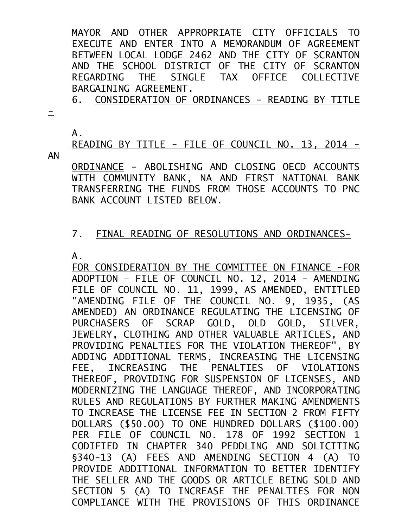MAYOR AND OTHER APPROPRIATE CITY OFFICIALS TO EXECUTE AND ENTER INTO A MEMORANDUM OF AGREEMENT BETWEEN LOCAL LODGE 2462 AND THE CITY OF SCRANTON AND THE SCHOOL DISTRICT OF THE CITY OF SCRANTON REGARDING THE SINGLE TAX OFFICE COLLECTIVE BARGAINING AGREEMENT.

6. CONSIDERATION OF ORDINANCES - READING BY TITLE

 $\equiv$ 

A.

READING BY TITLE - FILE OF COUNCIL NO. 13, 2014 -

AN

ORDINANCE - ABOLISHING AND CLOSING OECD ACCOUNTS WITH COMMUNITY BANK, NA AND FIRST NATIONAL BANK TRANSFERRING THE FUNDS FROM THOSE ACCOUNTS TO PNC BANK ACCOUNT LISTED BELOW.

## 7. FINAL READING OF RESOLUTIONS AND ORDINANCES-

A.

FOR CONSIDERATION BY THE COMMITTEE ON FINANCE -FOR ADOPTION – FILE OF COUNCIL NO. 12, 2014 - AMENDING FILE OF COUNCIL NO. 11, 1999, AS AMENDED, ENTITLED "AMENDING FILE OF THE COUNCIL NO. 9, 1935, (AS AMENDED) AN ORDINANCE REGULATING THE LICENSING OF PURCHASERS OF SCRAP GOLD, OLD GOLD, SILVER, JEWELRY, CLOTHING AND OTHER VALUABLE ARTICLES, AND PROVIDING PENALTIES FOR THE VIOLATION THEREOF", BY ADDING ADDITIONAL TERMS, INCREASING THE LICENSING FEE, INCREASING THE PENALTIES OF VIOLATIONS THEREOF, PROVIDING FOR SUSPENSION OF LICENSES, AND MODERNIZING THE LANGUAGE THEREOF, AND INCORPORATING RULES AND REGULATIONS BY FURTHER MAKING AMENDMENTS TO INCREASE THE LICENSE FEE IN SECTION 2 FROM FIFTY DOLLARS (\$50.00) TO ONE HUNDRED DOLLARS (\$100.00) PER FILE OF COUNCIL NO. 178 OF 1992 SECTION 1 CODIFIED IN CHAPTER 340 PEDDLING AND SOLICITING §340-13 (A) FEES AND AMENDING SECTION 4 (A) TO PROVIDE ADDITIONAL INFORMATION TO BETTER IDENTIFY THE SELLER AND THE GOODS OR ARTICLE BEING SOLD AND SECTION 5 (A) TO INCREASE THE PENALTIES FOR NON COMPLIANCE WITH THE PROVISIONS OF THIS ORDINANCE